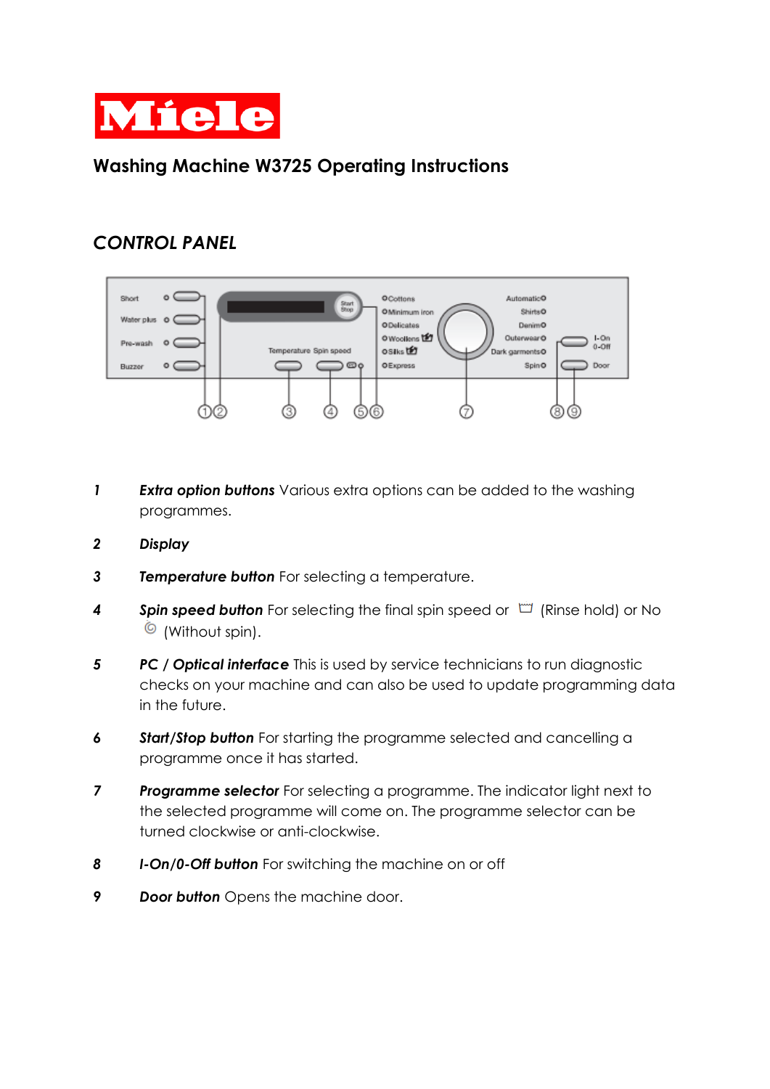

## **Washing Machine W3725 Operating Instructions**

## *CONTROL PANEL*



- *1 Extra option buttons* Various extra options can be added to the washing programmes.
- *2 Display*
- *3 Temperature button* For selecting a temperature.
- **4** Spin speed button For selecting the final spin speed or  $\Box$  (Rinse hold) or No  $\bullet$  (Without spin).
- *5 PC / Optical interface* This is used by service technicians to run diagnostic checks on your machine and can also be used to update programming data in the future.
- *6 Start/Stop button* For starting the programme selected and cancelling a programme once it has started.
- **7** Programme selector For selecting a programme. The indicator light next to the selected programme will come on. The programme selector can be turned clockwise or anti-clockwise.
- *8 I-On/0-Off button* For switching the machine on or off
- *9 Door button* Opens the machine door.